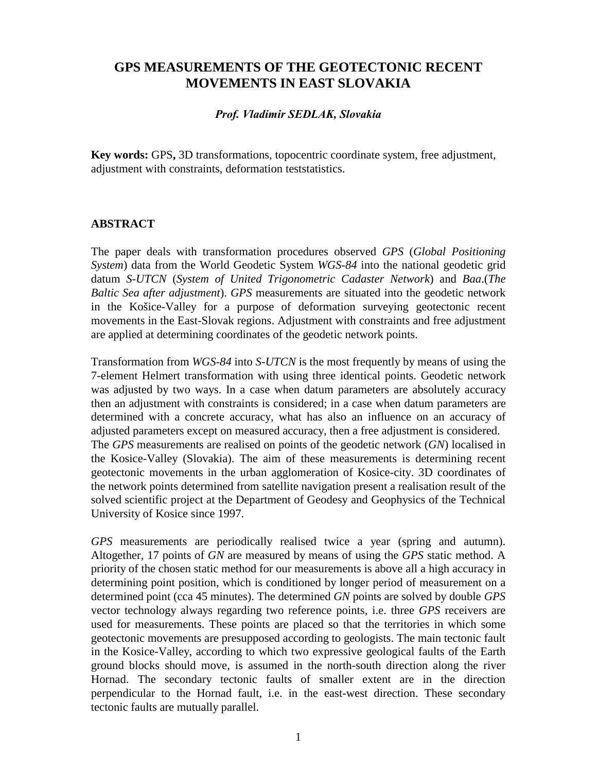# **GPS MEASUREMENTS OF THE GEOTECTONIC RECENT MOVEMENTS IN EAST SLOVAKIA**

### *Prof. Vladimir SEDLAK, Slovakia*

**Key words:** GPS**,** 3D transformations, topocentric coordinate system, free adjustment, adjustment with constraints, deformation teststatistics.

### **ABSTRACT**

The paper deals with transformation procedures observed *GPS* (*Global Positioning System*) data from the World Geodetic System *WGS-84* into the national geodetic grid datum *S-UTCN* (*System of United Trigonometric Cadaster Network*) and *Baa*.(*The Baltic Sea after adjustment*). *GPS* measurements are situated into the geodetic network in the Košice-Valley for a purpose of deformation surveying geotectonic recent movements in the East-Slovak regions. Adjustment with constraints and free adjustment are applied at determining coordinates of the geodetic network points.

Transformation from *WGS-84* into *S-UTCN* is the most frequently by means of using the 7-element Helmert transformation with using three identical points. Geodetic network was adjusted by two ways. In a case when datum parameters are absolutely accuracy then an adjustment with constraints is considered; in a case when datum parameters are determined with a concrete accuracy, what has also an influence on an accuracy of adjusted parameters except on measured accuracy, then a free adjustment is considered. The *GPS* measurements are realised on points of the geodetic network (*GN*) localised in the Kosice-Valley (Slovakia). The aim of these measurements is determining recent geotectonic movements in the urban agglomeration of Kosice-city. 3D coordinates of the network points determined from satellite navigation present a realisation result of the solved scientific project at the Department of Geodesy and Geophysics of the Technical University of Kosice since 1997.

*GPS* measurements are periodically realised twice a year (spring and autumn). Altogether, 17 points of *GN* are measured by means of using the *GPS* static method. A priority of the chosen static method for our measurements is above all a high accuracy in determining point position, which is conditioned by longer period of measurement on a determined point (cca 45 minutes). The determined *GN* points are solved by double *GPS* vector technology always regarding two reference points, i.e. three *GPS* receivers are used for measurements. These points are placed so that the territories in which some geotectonic movements are presupposed according to geologists. The main tectonic fault in the Kosice-Valley, according to which two expressive geological faults of the Earth ground blocks should move, is assumed in the north-south direction along the river Hornad. The secondary tectonic faults of smaller extent are in the direction perpendicular to the Hornad fault, i.e. in the east-west direction. These secondary tectonic faults are mutually parallel.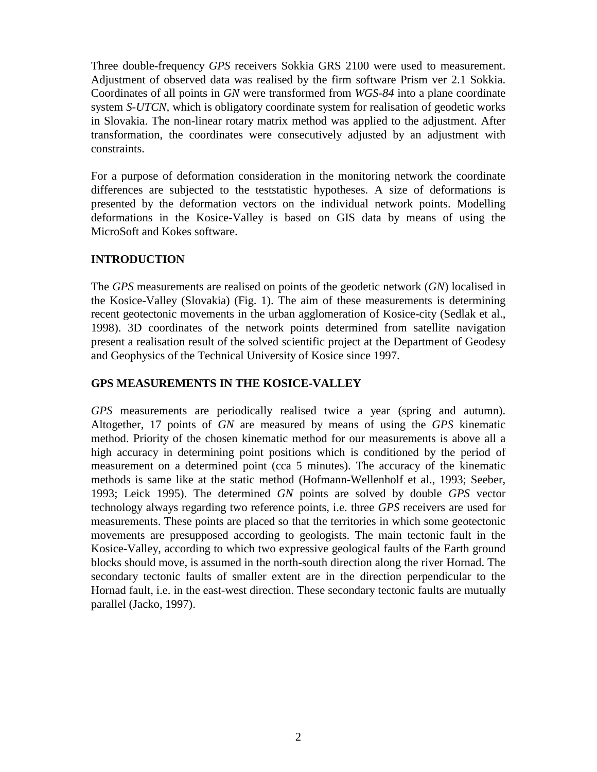Three double-frequency *GPS* receivers Sokkia GRS 2100 were used to measurement. Adjustment of observed data was realised by the firm software Prism ver 2.1 Sokkia. Coordinates of all points in *GN* were transformed from *WGS-84* into a plane coordinate system *S-UTCN,* which is obligatory coordinate system for realisation of geodetic works in Slovakia. The non-linear rotary matrix method was applied to the adjustment. After transformation, the coordinates were consecutively adjusted by an adjustment with constraints.

For a purpose of deformation consideration in the monitoring network the coordinate differences are subjected to the teststatistic hypotheses. A size of deformations is presented by the deformation vectors on the individual network points. Modelling deformations in the Kosice-Valley is based on GIS data by means of using the MicroSoft and Kokes software.

## **INTRODUCTION**

The *GPS* measurements are realised on points of the geodetic network (*GN*) localised in the Kosice-Valley (Slovakia) (Fig. 1). The aim of these measurements is determining recent geotectonic movements in the urban agglomeration of Kosice-city (Sedlak et al., 1998). 3D coordinates of the network points determined from satellite navigation present a realisation result of the solved scientific project at the Department of Geodesy and Geophysics of the Technical University of Kosice since 1997.

### **GPS MEASUREMENTS IN THE KOSICE-VALLEY**

*GPS* measurements are periodically realised twice a year (spring and autumn). Altogether, 17 points of *GN* are measured by means of using the *GPS* kinematic method. Priority of the chosen kinematic method for our measurements is above all a high accuracy in determining point positions which is conditioned by the period of measurement on a determined point (cca 5 minutes). The accuracy of the kinematic methods is same like at the static method (Hofmann-Wellenholf et al., 1993; Seeber, 1993; Leick 1995). The determined *GN* points are solved by double *GPS* vector technology always regarding two reference points, i.e. three *GPS* receivers are used for measurements. These points are placed so that the territories in which some geotectonic movements are presupposed according to geologists. The main tectonic fault in the Kosice-Valley, according to which two expressive geological faults of the Earth ground blocks should move, is assumed in the north-south direction along the river Hornad. The secondary tectonic faults of smaller extent are in the direction perpendicular to the Hornad fault, i.e. in the east-west direction. These secondary tectonic faults are mutually parallel (Jacko, 1997).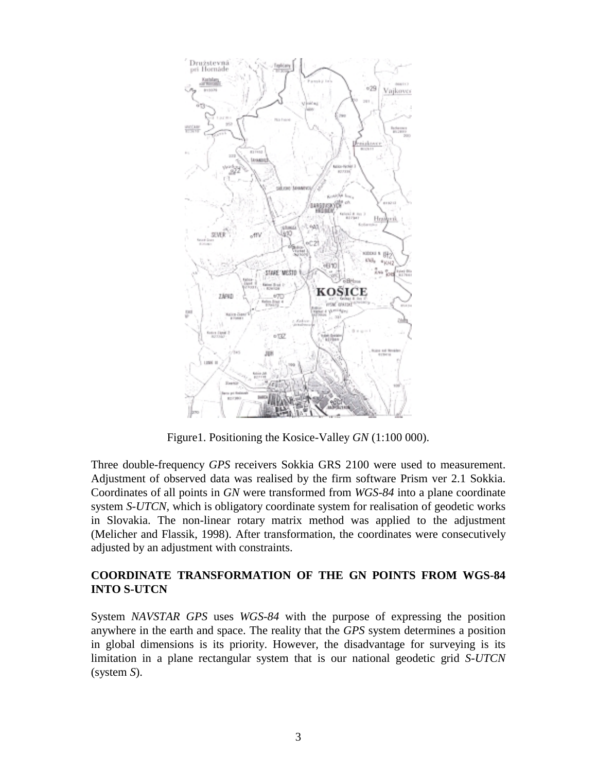

Figure1. Positioning the Kosice-Valley *GN* (1:100 000).

Three double-frequency *GPS* receivers Sokkia GRS 2100 were used to measurement. Adjustment of observed data was realised by the firm software Prism ver 2.1 Sokkia. Coordinates of all points in *GN* were transformed from *WGS-84* into a plane coordinate system *S-UTCN,* which is obligatory coordinate system for realisation of geodetic works in Slovakia. The non-linear rotary matrix method was applied to the adjustment (Melicher and Flassik, 1998). After transformation, the coordinates were consecutively adjusted by an adjustment with constraints.

## **COORDINATE TRANSFORMATION OF THE GN POINTS FROM WGS-84 INTO S-UTCN**

System *NAVSTAR GPS* uses *WGS-84* with the purpose of expressing the position anywhere in the earth and space. The reality that the *GPS* system determines a position in global dimensions is its priority. However, the disadvantage for surveying is its limitation in a plane rectangular system that is our national geodetic grid *S-UTCN* (system *S*).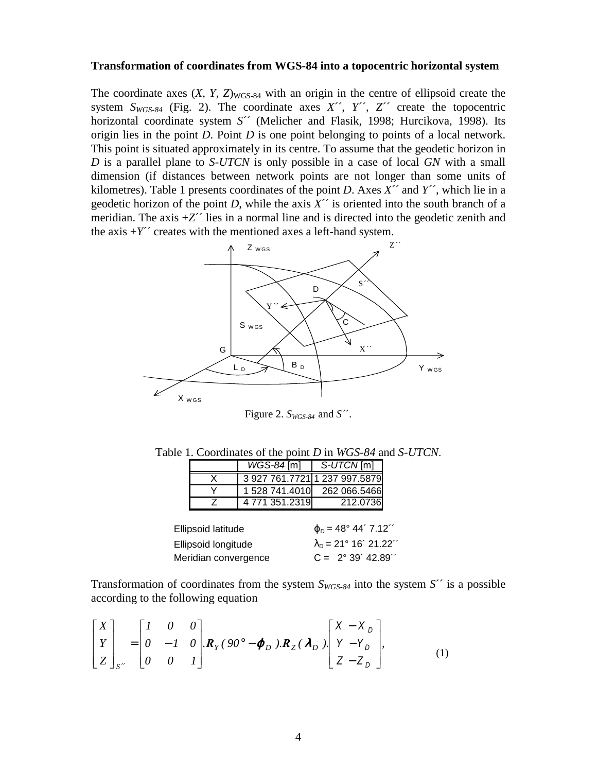#### **Transformation of coordinates from WGS-84 into a topocentric horizontal system**

The coordinate axes  $(X, Y, Z)<sub>WGS-84</sub>$  with an origin in the centre of ellipsoid create the system  $S_{WGS-84}$  (Fig. 2). The coordinate axes X<sup>''</sup>, Y<sup>''</sup>, Z<sup>''</sup> create the topocentric horizontal coordinate system *S*´´ (Melicher and Flasik, 1998; Hurcikova, 1998). Its origin lies in the point *D*. Point *D* is one point belonging to points of a local network. This point is situated approximately in its centre. To assume that the geodetic horizon in *D* is a parallel plane to *S-UTCN* is only possible in a case of local *GN* with a small dimension (if distances between network points are not longer than some units of kilometres). Table 1 presents coordinates of the point *D*. Axes *X*´´ and *Y*´´, which lie in a geodetic horizon of the point *D*, while the axis  $X^{\prime\prime}$  is oriented into the south branch of a meridian. The axis  $+Z^{\prime\prime}$  lies in a normal line and is directed into the geodetic zenith and the axis  $+Y'$  creates with the mentioned axes a left-hand system.



Figure 2.  $S_{WGS-84}$  and  $S^{\prime\prime}$ .

Table 1. Coordinates of the point *D* in *WGS-84* and *S-UTCN*.

| $WGS-84$ [m]   | S-UTCN [m]                    |
|----------------|-------------------------------|
|                | 3 927 761 7721 1 237 997 5879 |
| 1 528 741 4010 | 262 066.5466                  |
| 4771351.2319   | 212.0736                      |

| Ellipsoid latitude   | $\varphi_{\text{D}} = 48^{\circ} 44' 7.12''$ |
|----------------------|----------------------------------------------|
| Ellipsoid longitude  | $\lambda_0$ = 21° 16' 21.22''                |
| Meridian convergence | $C = 2^{\circ} 39' 42.89''$                  |

Transformation of coordinates from the system  $S_{WGS-84}$  into the system  $S^{\prime\prime}$  is a possible according to the following equation

$$
\begin{bmatrix} X \ Y \ Z \end{bmatrix}_{S''} = \begin{bmatrix} I & 0 & 0 \\ 0 & -I & 0 \\ 0 & 0 & I \end{bmatrix} . R_Y (90^\circ - \varphi_D) . R_Z (\lambda_D) . \begin{bmatrix} X - X_D \\ Y - Y_D \\ Z - Z_D \end{bmatrix},
$$
 (1)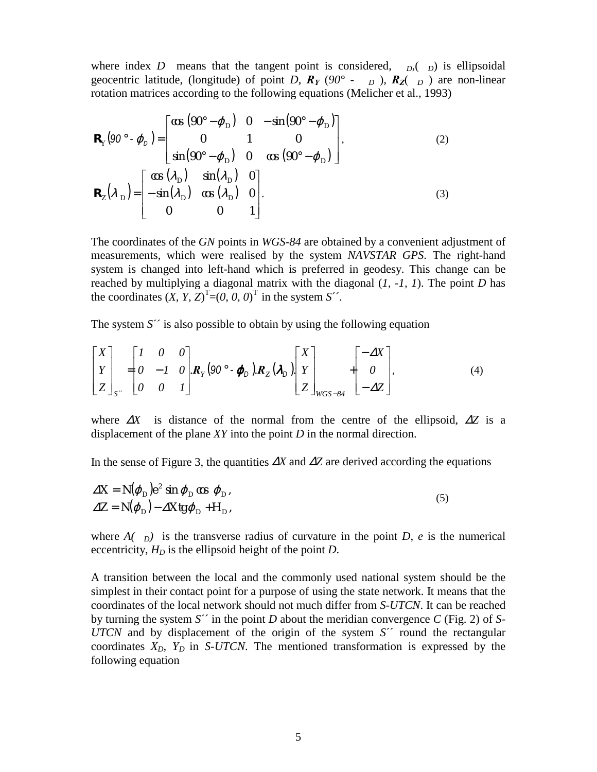where index *D* means that the tangent point is considered,  $D(D)$  is ellipsoidal geocentric latitude, (longitude) of point *D*,  $R_Y$  (90° - *D*),  $R_Z$ (*D*) are non-linear rotation matrices according to the following equations (Melicher et al., 1993)

$$
\mathbf{R}_{Y}(90^{\circ} \cdot \boldsymbol{\varphi}_{D}) = \begin{bmatrix} \cos(90^{\circ} - \boldsymbol{\varphi}_{D}) & 0 & -\sin(90^{\circ} - \boldsymbol{\varphi}_{D}) \\ 0 & 1 & 0 \\ \sin(90^{\circ} - \boldsymbol{\varphi}_{D}) & 0 & \cos(90^{\circ} - \boldsymbol{\varphi}_{D}) \end{bmatrix},
$$
(2)  

$$
\mathbf{R}_{Z}(\lambda_{D}) = \begin{bmatrix} \cos(\lambda_{D}) & \sin(\lambda_{D}) & 0 \\ -\sin(\lambda_{D}) & \cos(\lambda_{D}) & 0 \\ 0 & 0 & 1 \end{bmatrix}.
$$
(3)

The coordinates of the *GN* points in *WGS-84* are obtained by a convenient adjustment of measurements, which were realised by the system *NAVSTAR GPS*. The right-hand system is changed into left-hand which is preferred in geodesy. This change can be reached by multiplying a diagonal matrix with the diagonal (*1, -1, 1*). The point *D* has the coordinates  $(X, Y, Z)^{T} = (0, 0, 0)^{T}$  in the system *S*<sup> $\prime\prime$ </sup>.

The system S<sup>oo</sup> is also possible to obtain by using the following equation

$$
\begin{bmatrix} X \ Y \ Z \end{bmatrix}_{S''} = \begin{bmatrix} I & 0 & 0 \\ 0 & -I & 0 \\ 0 & 0 & I \end{bmatrix} . \mathbf{R}_Y (90^\circ \cdot \boldsymbol{\varphi}_D) . \mathbf{R}_Z (\boldsymbol{\lambda}_D) \begin{bmatrix} X \\ Y \\ Z \end{bmatrix}_{WGS-S4} + \begin{bmatrix} -\Delta X \\ 0 \\ -\Delta Z \end{bmatrix},
$$
(4)

where ∆*X* is distance of the normal from the centre of the ellipsoid, ∆*Z* is a displacement of the plane *XY* into the point *D* in the normal direction.

In the sense of Figure 3, the quantities ∆*X* and ∆*Z* are derived according the equations

$$
\Delta X = N(\varphi_D)e^2 \sin \varphi_D \cos \varphi_D,
$$
  
\n
$$
\Delta Z = N(\varphi_D) - \Delta X t g \varphi_D + H_D,
$$
\n(5)

where  $A(\overrightarrow{D})$  is the transverse radius of curvature in the point *D*, *e* is the numerical eccentricity,  $H_D$  is the ellipsoid height of the point  $D$ .

A transition between the local and the commonly used national system should be the simplest in their contact point for a purpose of using the state network. It means that the coordinates of the local network should not much differ from *S-UTCN*. It can be reached by turning the system *S*´´ in the point *D* about the meridian convergence *C* (Fig. 2) of *S-UTCN* and by displacement of the origin of the system *S*´´ round the rectangular coordinates  $X_D$ ,  $Y_D$  in *S-UTCN*. The mentioned transformation is expressed by the following equation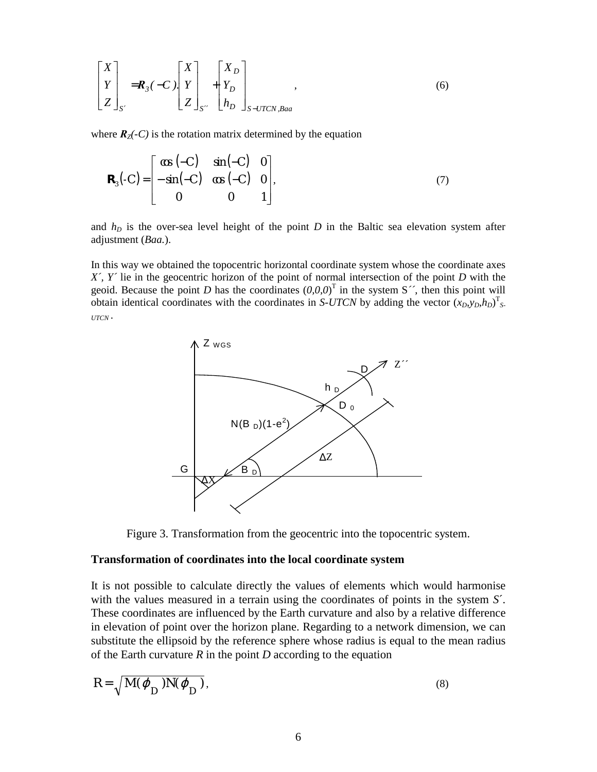$$
\begin{bmatrix} X \ Y \ Z \end{bmatrix}_{S'} = \mathbf{R}_3(-C) \begin{bmatrix} X \ Y \ Z \end{bmatrix}_{S''} + \begin{bmatrix} X_D \ Y_D \ h_D \end{bmatrix}_{S-UTCN, Baa},
$$
\n(6)

where  $R_Z(-C)$  is the rotation matrix determined by the equation

$$
\boldsymbol{R}_3(\cdot C) = \begin{bmatrix} \cos(-C) & \sin(-C) & 0 \\ -\sin(-C) & \cos(-C) & 0 \\ 0 & 0 & 1 \end{bmatrix}, \tag{7}
$$

and  $h<sub>D</sub>$  is the over-sea level height of the point  $D$  in the Baltic sea elevation system after adjustment (*Baa.*).

In this way we obtained the topocentric horizontal coordinate system whose the coordinate axes *X´, Y´* lie in the geocentric horizon of the point of normal intersection of the point *D* with the geoid. Because the point *D* has the coordinates  $(0,0,0)^T$  in the system S<sup> $\gamma$ </sup>, then this point will obtain identical coordinates with the coordinates in *S-UTCN* by adding the vector  $(x_D, y_D, h_D)$ <sup>T</sup><sub>S-</sub> *UTCN* .





#### **Transformation of coordinates into the local coordinate system**

It is not possible to calculate directly the values of elements which would harmonise with the values measured in a terrain using the coordinates of points in the system *S*´. These coordinates are influenced by the Earth curvature and also by a relative difference in elevation of point over the horizon plane. Regarding to a network dimension, we can substitute the ellipsoid by the reference sphere whose radius is equal to the mean radius of the Earth curvature *R* in the point *D* according to the equation

$$
R = \sqrt{M(\varphi_D)N(\varphi_D)},
$$
\n(8)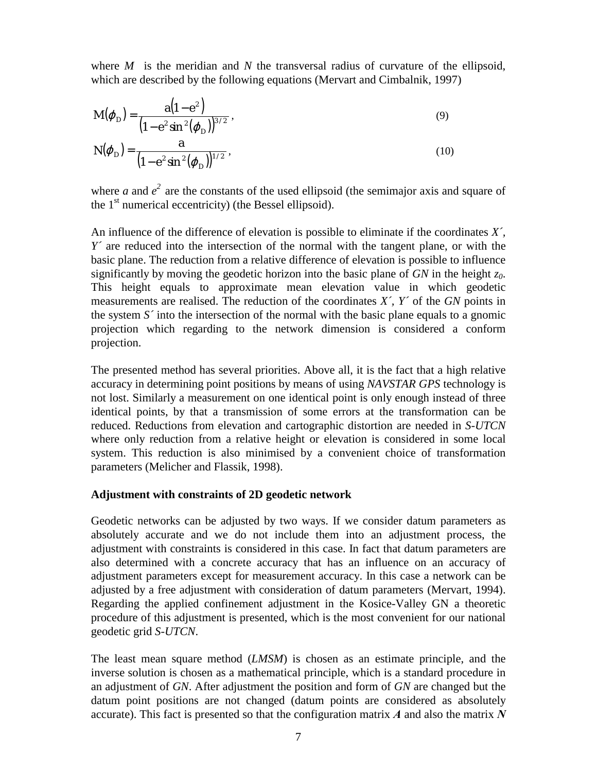where *M* is the meridian and *N* the transversal radius of curvature of the ellipsoid, which are described by the following equations (Mervart and Cimbalnik, 1997)

$$
M(\varphi_D) = \frac{a(1 - e^2)}{(1 - e^2 \sin^2(\varphi_D))^{3/2}},
$$
\n(9)

$$
N(\varphi_D) = \frac{a}{\left(1 - e^2 \sin^2(\varphi_D)\right)^{1/2}},\tag{10}
$$

where *a* and  $e^2$  are the constants of the used ellipsoid (the semimajor axis and square of the  $1<sup>st</sup>$  numerical eccentricity) (the Bessel ellipsoid).

An influence of the difference of elevation is possible to eliminate if the coordinates *X´, Y´* are reduced into the intersection of the normal with the tangent plane, or with the basic plane. The reduction from a relative difference of elevation is possible to influence significantly by moving the geodetic horizon into the basic plane of *GN* in the height *z0*. This height equals to approximate mean elevation value in which geodetic measurements are realised. The reduction of the coordinates *X´, Y´* of the *GN* points in the system *S´* into the intersection of the normal with the basic plane equals to a gnomic projection which regarding to the network dimension is considered a conform projection.

The presented method has several priorities. Above all, it is the fact that a high relative accuracy in determining point positions by means of using *NAVSTAR GPS* technology is not lost. Similarly a measurement on one identical point is only enough instead of three identical points, by that a transmission of some errors at the transformation can be reduced. Reductions from elevation and cartographic distortion are needed in *S-UTCN* where only reduction from a relative height or elevation is considered in some local system. This reduction is also minimised by a convenient choice of transformation parameters (Melicher and Flassik, 1998).

### **Adjustment with constraints of 2D geodetic network**

Geodetic networks can be adjusted by two ways. If we consider datum parameters as absolutely accurate and we do not include them into an adjustment process, the adjustment with constraints is considered in this case. In fact that datum parameters are also determined with a concrete accuracy that has an influence on an accuracy of adjustment parameters except for measurement accuracy. In this case a network can be adjusted by a free adjustment with consideration of datum parameters (Mervart, 1994). Regarding the applied confinement adjustment in the Kosice-Valley GN a theoretic procedure of this adjustment is presented, which is the most convenient for our national geodetic grid *S-UTCN*.

The least mean square method (*LMSM*) is chosen as an estimate principle, and the inverse solution is chosen as a mathematical principle, which is a standard procedure in an adjustment of *GN*. After adjustment the position and form of *GN* are changed but the datum point positions are not changed (datum points are considered as absolutely accurate). This fact is presented so that the configuration matrix *A* and also the matrix *N*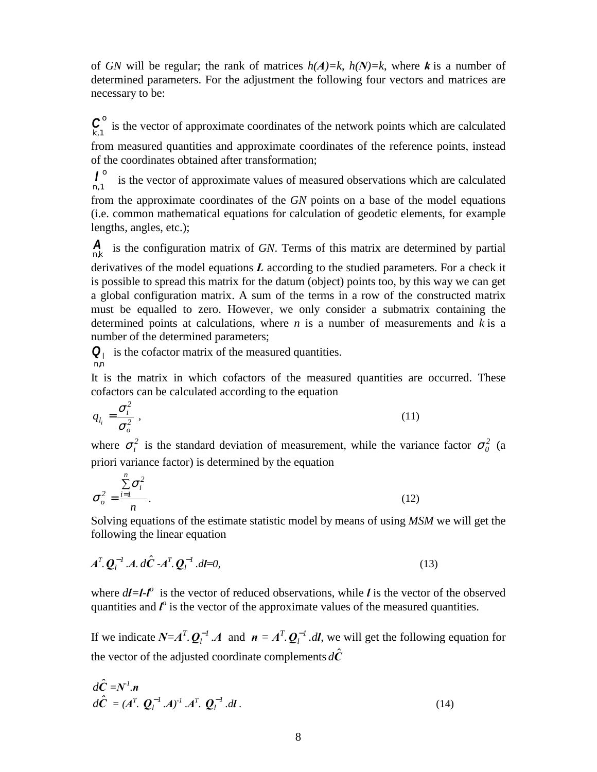of *GN* will be regular; the rank of matrices  $h(A)=k$ ,  $h(N)=k$ , where **k** is a number of determined parameters. For the adjustment the following four vectors and matrices are necessary to be:

 $\mathcal{C}_{k,1}^{\circ}$  is the vector of approximate coordinates of the network points which are calculated from measured quantities and approximate coordinates of the reference points, instead of the coordinates obtained after transformation;

 $\int_{n,1}^{0}$ is the vector of approximate values of measured observations which are calculated from the approximate coordinates of the *GN* points on a base of the model equations

(i.e. common mathematical equations for calculation of geodetic elements, for example lengths, angles, etc.);

 $\boldsymbol{A}$  is the configuration matrix of *GN*. Terms of this matrix are determined by partial

derivatives of the model equations *L* according to the studied parameters. For a check it is possible to spread this matrix for the datum (object) points too, by this way we can get a global configuration matrix. A sum of the terms in a row of the constructed matrix must be equalled to zero. However, we only consider a submatrix containing the determined points at calculations, where *n* is a number of measurements and *k* is a number of the determined parameters;

n,n  $Q_1$  is the cofactor matrix of the measured quantities.

It is the matrix in which cofactors of the measured quantities are occurred. These cofactors can be calculated according to the equation

$$
q_{l_i} = \frac{\sigma_i^2}{\sigma_o^2} \,,\tag{11}
$$

where  $\sigma_i^2$  is the standard deviation of measurement, while the variance factor  $\sigma_0^2$  (a priori variance factor) is determined by the equation

$$
\sigma_o^2 = \frac{\sum_{i=1}^n \sigma_i^2}{n}.
$$
\n(12)

Solving equations of the estimate statistic model by means of using *MSM* we will get the following the linear equation

$$
A^T \cdot \mathbf{Q}_l^{-1} \cdot A \cdot d\hat{C} \cdot A^T \cdot \mathbf{Q}_l^{-1} \cdot dI = 0,
$$
\n(13)

where  $d\mathbf{l} = \mathbf{l} \cdot \mathbf{l}^{\circ}$  is the vector of reduced observations, while *l* is the vector of the observed quantities and  $I^{\circ}$  is the vector of the approximate values of the measured quantities.

If we indicate  $N = A^T$ .  $Q_l^{-1}$ . A and  $n = A^T$ .  $Q_l^{-1}$ . *dl*, we will get the following equation for the vector of the adjusted coordinate complements  $d\hat{C}$ 

$$
d\hat{C} = N^{l}.\mathbf{n}
$$
  

$$
d\hat{C} = (A^{T}. \ \mathbf{Q}_{l}^{-1}.A)^{l}.\mathbf{A}^{T}. \ \mathbf{Q}_{l}^{-1}.dl.
$$
 (14)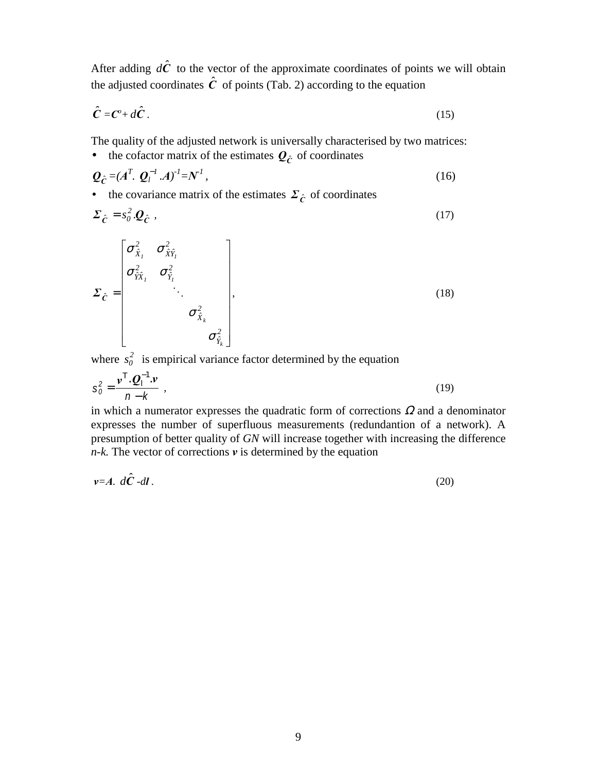After adding  $d\hat{C}$  to the vector of the approximate coordinates of points we will obtain the adjusted coordinates  $\hat{C}$  of points (Tab. 2) according to the equation

$$
\hat{\mathbf{C}} = \mathbf{C}^{\circ} + d\hat{\mathbf{C}} \,. \tag{15}
$$

The quality of the adjusted network is universally characterised by two matrices:

• the cofactor matrix of the estimates  $\mathbf{Q}_{\hat{c}}$  of coordinates

$$
\mathbf{Q}_{\hat{\mathcal{C}}} = (A^T \cdot \mathbf{Q}_l^{-1} \cdot A)^{-1} = \mathbf{N}^1 \,, \tag{16}
$$

• the covariance matrix of the estimates  $\Sigma_{\hat{C}}$  of coordinates

$$
\Sigma_{\hat{C}} = s_0^2 \cdot \mathbf{Q}_{\hat{C}} \tag{17}
$$

$$
\Sigma_{\hat{c}} = \begin{bmatrix} \sigma_{\hat{X}_I}^2 & \sigma_{\hat{X}\hat{Y}_I}^2 & & \\ \sigma_{\hat{Y}\hat{X}_I}^2 & \sigma_{\hat{Y}_I}^2 & & \\ & \ddots & \\ & & \sigma_{\hat{X}_k}^2 & \\ & & & \sigma_{\hat{Y}_k}^2 \end{bmatrix},
$$
(18)

where  $s_0^2$  is empirical variance factor determined by the equation

$$
s_0^2 = \frac{\mathbf{v}^\top \cdot \mathbf{Q}_1^{-1} \cdot \mathbf{v}}{n - k} \tag{19}
$$

in which a numerator expresses the quadratic form of corrections  $\Omega$  and a denominator expresses the number of superfluous measurements (redundantion of a network). A presumption of better quality of *GN* will increase together with increasing the difference  $n-k$ . The vector of corrections  $v$  is determined by the equation

$$
v = A. \, d\hat{C} \, -d\hat{l} \,. \tag{20}
$$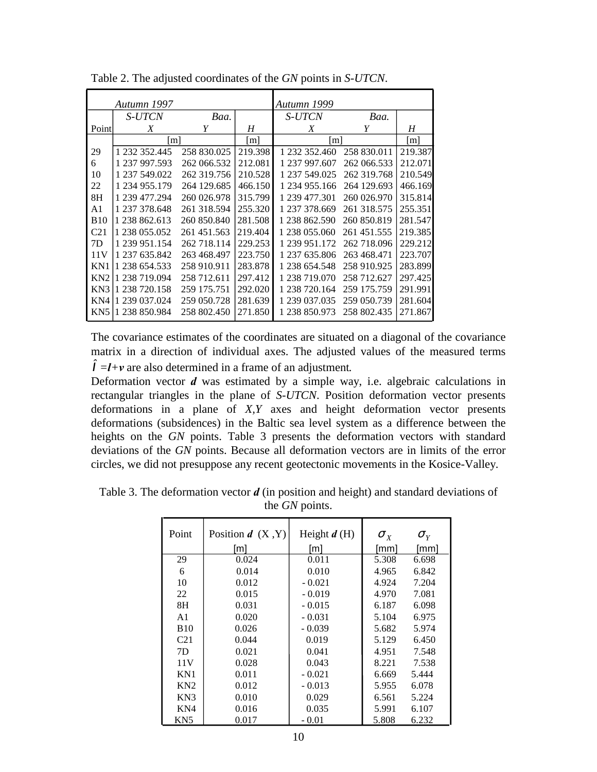|                 | Autumn 1997       |             |                   | Autumn 1999   |             |         |
|-----------------|-------------------|-------------|-------------------|---------------|-------------|---------|
|                 | S-UTCN            | Baa.        |                   | S-UTCN        | Baa.        |         |
| Point           | X                 | Y           | Η                 | X             | Y           | Η       |
|                 | $\lceil m \rceil$ |             | $\lceil m \rceil$ | m             |             | [m]     |
| 29              | 1 232 352.445     | 258 830.025 | 219.398           | 1 232 352.460 | 258 830.011 | 219.387 |
| 6               | 1 237 997.593     | 262 066.532 | 212.081           | 1 237 997.607 | 262 066.533 | 212.071 |
| 10              | 1 237 549,022     | 262 319.756 | 210.528           | 1 237 549.025 | 262 319.768 | 210.549 |
| 22              | 1 234 955.179     | 264 129.685 | 466.150           | 1 234 955.166 | 264 129.693 | 466.169 |
| 8H              | 1 239 477.294     | 260 026.978 | 315.799           | 1 239 477.301 | 260 026.970 | 315.814 |
| A <sub>1</sub>  | 1 237 378.648     | 261 318.594 | 255.320           | 1 237 378.669 | 261 318.575 | 255.351 |
| <b>B10</b>      | 1 238 862.613     | 260 850.840 | 281.508           | 1 238 862.590 | 260 850.819 | 281.547 |
| C <sub>21</sub> | 1 238 055.052     | 261 451 563 | 219.404           | 1 238 055.060 | 261 451 555 | 219.385 |
| 7D              | 1 239 951.154     | 262 718.114 | 229.253           | 1 239 951.172 | 262 718,096 | 229.212 |
| 11V             | 1 237 635.842     | 263 468.497 | 223.750           | 1 237 635.806 | 263 468.471 | 223.707 |
| KN1             | 1 238 654.533     | 258 910.911 | 283.878           | 1 238 654.548 | 258 910.925 | 283.899 |
| KN <sub>2</sub> | 1 238 719.094     | 258 712.611 | 297.412           | 1 238 719.070 | 258 712.627 | 297.425 |
| KN3             | 1 238 720.158     | 259 175.751 | 292.020           | 1 238 720.164 | 259 175.759 | 291.991 |
| KN4             | 1 239 037.024     | 259 050.728 | 281.639           | 1 239 037.035 | 259 050.739 | 281.604 |
| KN5             | 1 238 850.984     | 258 802.450 | 271.850           | 1 238 850.973 | 258 802.435 | 271.867 |

Table 2. The adjusted coordinates of the *GN* points in *S-UTCN*.

The covariance estimates of the coordinates are situated on a diagonal of the covariance matrix in a direction of individual axes. The adjusted values of the measured terms  $\hat{\mathbf{l}} = \mathbf{l} + \mathbf{v}$  are also determined in a frame of an adjustment.

Deformation vector *d* was estimated by a simple way, i.e. algebraic calculations in rectangular triangles in the plane of *S-UTCN*. Position deformation vector presents deformations in a plane of *X,Y* axes and height deformation vector presents deformations (subsidences) in the Baltic sea level system as a difference between the heights on the *GN* points. Table 3 presents the deformation vectors with standard deviations of the *GN* points. Because all deformation vectors are in limits of the error circles, we did not presuppose any recent geotectonic movements in the Kosice-Valley.

|                 | ---- -- <sub>-</sub> -    |                      |                    |                      |  |  |
|-----------------|---------------------------|----------------------|--------------------|----------------------|--|--|
| Point           | Position $d(X, Y)$<br>[m] | Height $d(H)$<br>[m] | $\sigma_X$<br>[mm] | $\sigma_{Y}$<br>[mm] |  |  |
| 29              | 0.024                     | 0.011                | 5.308              | 6.698                |  |  |
| 6               | 0.014                     | 0.010                | 4.965              | 6.842                |  |  |
| 10              | 0.012                     | $-0.021$             | 4.924              | 7.204                |  |  |
| 22              | 0.015                     | $-0.019$             | 4.970              | 7.081                |  |  |
| 8H              | 0.031                     | $-0.015$             | 6.187              | 6.098                |  |  |
| A1              | 0.020                     | $-0.031$             | 5.104              | 6.975                |  |  |
| <b>B10</b>      | 0.026                     | $-0.039$             | 5.682              | 5.974                |  |  |
| C <sub>21</sub> | 0.044                     | 0.019                | 5.129              | 6.450                |  |  |
| 7D              | 0.021                     | 0.041                | 4.951              | 7.548                |  |  |
| 11 <sub>V</sub> | 0.028                     | 0.043                | 8.221              | 7.538                |  |  |
| KN1             | 0.011                     | $-0.021$             | 6.669              | 5.444                |  |  |
| KN2             | 0.012                     | $-0.013$             | 5.955              | 6.078                |  |  |
| KN <sub>3</sub> | 0.010                     | 0.029                | 6.561              | 5.224                |  |  |
| KN4             | 0.016                     | 0.035                | 5.991              | 6.107                |  |  |
| KN <sub>5</sub> | 0.017                     | $-0.01$              | 5.808              | 6.232                |  |  |

Table 3. The deformation vector *d* (in position and height) and standard deviations of the *GN* points.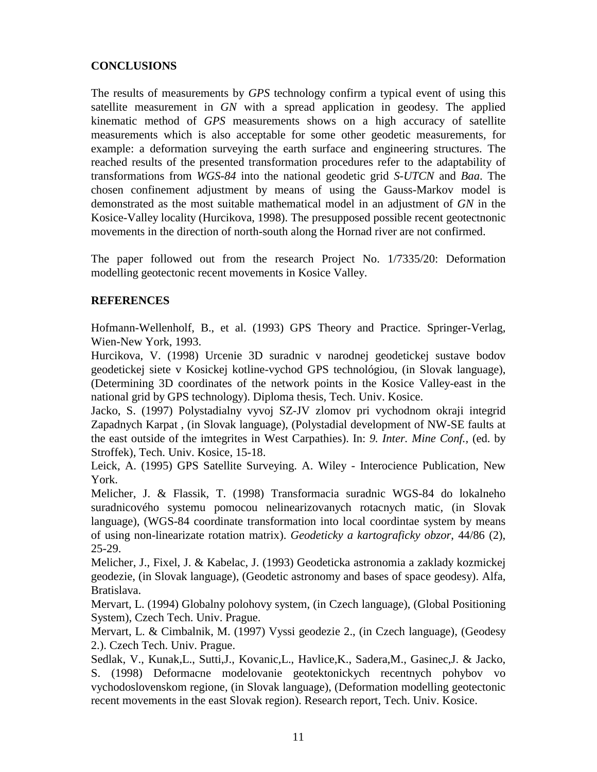## **CONCLUSIONS**

The results of measurements by *GPS* technology confirm a typical event of using this satellite measurement in *GN* with a spread application in geodesy. The applied kinematic method of *GPS* measurements shows on a high accuracy of satellite measurements which is also acceptable for some other geodetic measurements, for example: a deformation surveying the earth surface and engineering structures. The reached results of the presented transformation procedures refer to the adaptability of transformations from *WGS-84* into the national geodetic grid *S-UTCN* and *Baa*. The chosen confinement adjustment by means of using the Gauss-Markov model is demonstrated as the most suitable mathematical model in an adjustment of *GN* in the Kosice-Valley locality (Hurcikova, 1998). The presupposed possible recent geotectnonic movements in the direction of north-south along the Hornad river are not confirmed.

The paper followed out from the research Project No. 1/7335/20: Deformation modelling geotectonic recent movements in Kosice Valley.

### **REFERENCES**

Hofmann-Wellenholf, B., et al. (1993) GPS Theory and Practice. Springer-Verlag, Wien-New York, 1993.

Hurcikova, V. (1998) Urcenie 3D suradnic v narodnej geodetickej sustave bodov geodetickej siete v Kosickej kotline-vychod GPS technológiou, (in Slovak language), (Determining 3D coordinates of the network points in the Kosice Valley-east in the national grid by GPS technology). Diploma thesis, Tech. Univ. Kosice.

Jacko, S. (1997) Polystadialny vyvoj SZ-JV zlomov pri vychodnom okraji integrid Zapadnych Karpat , (in Slovak language), (Polystadial development of NW-SE faults at the east outside of the imtegrites in West Carpathies). In: *9. Inter. Mine Conf.,* (ed. by Stroffek), Tech. Univ. Kosice, 15-18.

Leick, A. (1995) GPS Satellite Surveying. A. Wiley - Interocience Publication, New York.

Melicher, J. & Flassik, T. (1998) Transformacia suradnic WGS-84 do lokalneho suradnicového systemu pomocou nelinearizovanych rotacnych matic, (in Slovak language), (WGS-84 coordinate transformation into local coordintae system by means of using non-linearizate rotation matrix). *Geodeticky a kartograficky obzor*, 44/86 (2), 25-29.

Melicher, J., Fixel, J. & Kabelac, J. (1993) Geodeticka astronomia a zaklady kozmickej geodezie, (in Slovak language), (Geodetic astronomy and bases of space geodesy). Alfa, Bratislava.

Mervart, L. (1994) Globalny polohovy system, (in Czech language), (Global Positioning System), Czech Tech. Univ. Prague.

Mervart, L. & Cimbalnik, M. (1997) Vyssi geodezie 2., (in Czech language), (Geodesy 2.). Czech Tech. Univ. Prague.

Sedlak, V., Kunak,L., Sutti,J., Kovanic,L., Havlice,K., Sadera,M., Gasinec,J. & Jacko, S. (1998) Deformacne modelovanie geotektonickych recentnych pohybov vo vychodoslovenskom regione, (in Slovak language), (Deformation modelling geotectonic recent movements in the east Slovak region). Research report, Tech. Univ. Kosice.